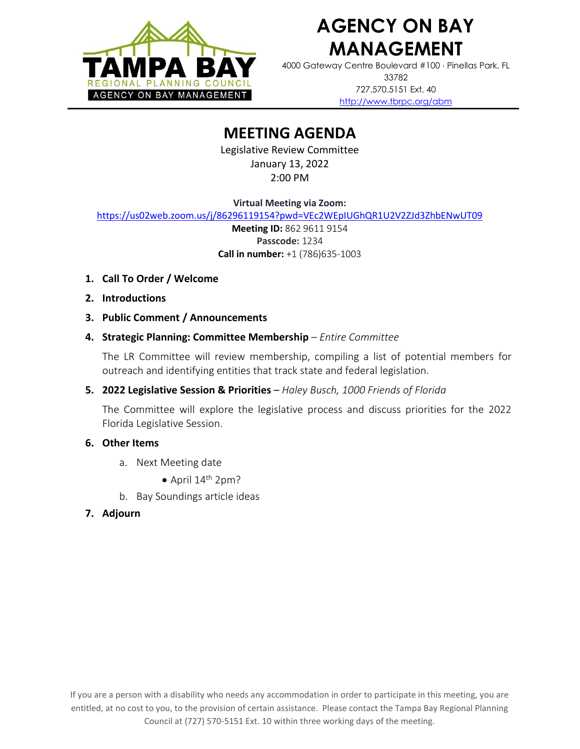

# **AGENCY ON BAY MANAGEMENT**

4000 Gateway Centre Boulevard #100 Pinellas Park, FL 33782 727.570.5151 Ext. 40 <http://www.tbrpc.org/abm>

# **MEETING AGENDA**

Legislative Review Committee January 13, 2022 2:00 PM

**Virtual Meeting via Zoom:**

<https://us02web.zoom.us/j/86296119154?pwd=VEc2WEpIUGhQR1U2V2ZJd3ZhbENwUT09>

**Meeting ID:** 862 9611 9154 **Passcode:** 1234 **Call in number:** +1 (786)635-1003

- **1. Call To Order / Welcome**
- **2. Introductions**
- **3. Public Comment / Announcements**
- **4. Strategic Planning: Committee Membership** *Entire Committee*

The LR Committee will review membership, compiling a list of potential members for outreach and identifying entities that track state and federal legislation.

**5. 2022 Legislative Session & Priorities** – *Haley Busch, 1000 Friends of Florida*

The Committee will explore the legislative process and discuss priorities for the 2022 Florida Legislative Session.

## **6. Other Items**

- a. Next Meeting date
	- $\bullet$  April 14<sup>th</sup> 2pm?
- b. Bay Soundings article ideas
- **7. Adjourn**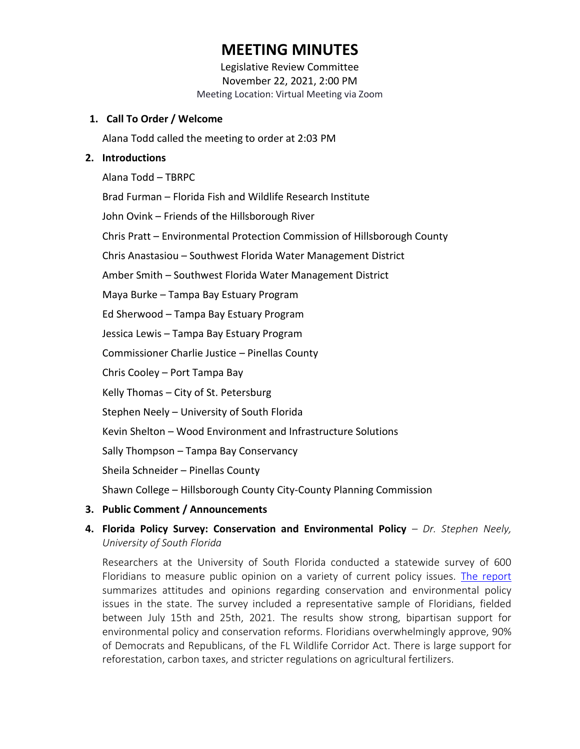# **MEETING MINUTES**

Legislative Review Committee November 22, 2021, 2:00 PM Meeting Location: Virtual Meeting via Zoom

### **1. Call To Order / Welcome**

Alana Todd called the meeting to order at 2:03 PM

#### **2. Introductions**

Alana Todd – TBRPC

Brad Furman – Florida Fish and Wildlife Research Institute

John Ovink – Friends of the Hillsborough River

Chris Pratt – Environmental Protection Commission of Hillsborough County

Chris Anastasiou – Southwest Florida Water Management District

Amber Smith – Southwest Florida Water Management District

Maya Burke – Tampa Bay Estuary Program

Ed Sherwood – Tampa Bay Estuary Program

Jessica Lewis – Tampa Bay Estuary Program

Commissioner Charlie Justice – Pinellas County

Chris Cooley – Port Tampa Bay

Kelly Thomas – City of St. Petersburg

Stephen Neely – University of South Florida

Kevin Shelton – Wood Environment and Infrastructure Solutions

Sally Thompson – Tampa Bay Conservancy

Sheila Schneider – Pinellas County

Shawn College – Hillsborough County City-County Planning Commission

**3. Public Comment / Announcements**

### **4. Florida Policy Survey: Conservation and Environmental Policy** – *Dr. Stephen Neely, University of South Florida*

Researchers at the University of South Florida conducted a statewide survey of 600 Floridians to measure public opinion on a variety of current policy issues. [The report](https://www.usf.edu/arts-sciences/departments/public-affairs/documents/news-items/spa-policy-conservation-survey-results-2021.pdf) summarizes attitudes and opinions regarding conservation and environmental policy issues in the state. The survey included a representative sample of Floridians, fielded between July 15th and 25th, 2021. The results show strong, bipartisan support for environmental policy and conservation reforms. Floridians overwhelmingly approve, 90% of Democrats and Republicans, of the FL Wildlife Corridor Act. There is large support for reforestation, carbon taxes, and stricter regulations on agricultural fertilizers.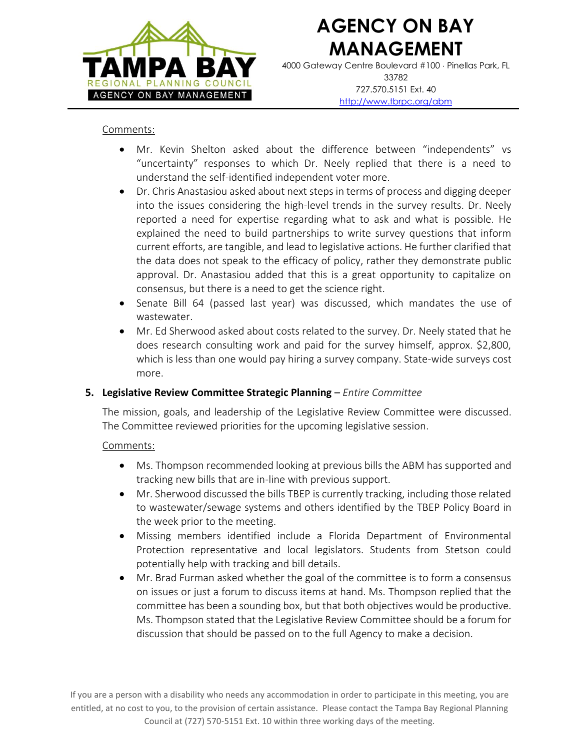

# **AGENCY ON BAY MANAGEMENT**

4000 Gateway Centre Boulevard #100 Pinellas Park, FL 33782 727.570.5151 Ext. 40 <http://www.tbrpc.org/abm>

#### Comments:

- Mr. Kevin Shelton asked about the difference between "independents" vs "uncertainty" responses to which Dr. Neely replied that there is a need to understand the self-identified independent voter more.
- Dr. Chris Anastasiou asked about next steps in terms of process and digging deeper into the issues considering the high-level trends in the survey results. Dr. Neely reported a need for expertise regarding what to ask and what is possible. He explained the need to build partnerships to write survey questions that inform current efforts, are tangible, and lead to legislative actions. He further clarified that the data does not speak to the efficacy of policy, rather they demonstrate public approval. Dr. Anastasiou added that this is a great opportunity to capitalize on consensus, but there is a need to get the science right.
- Senate Bill 64 (passed last year) was discussed, which mandates the use of wastewater.
- Mr. Ed Sherwood asked about costs related to the survey. Dr. Neely stated that he does research consulting work and paid for the survey himself, approx. \$2,800, which is less than one would pay hiring a survey company. State-wide surveys cost more.

### **5. Legislative Review Committee Strategic Planning** – *Entire Committee*

The mission, goals, and leadership of the Legislative Review Committee were discussed. The Committee reviewed priorities for the upcoming legislative session.

### Comments:

- Ms. Thompson recommended looking at previous bills the ABM has supported and tracking new bills that are in-line with previous support.
- Mr. Sherwood discussed the bills TBEP is currently tracking, including those related to wastewater/sewage systems and others identified by the TBEP Policy Board in the week prior to the meeting.
- Missing members identified include a Florida Department of Environmental Protection representative and local legislators. Students from Stetson could potentially help with tracking and bill details.
- Mr. Brad Furman asked whether the goal of the committee is to form a consensus on issues or just a forum to discuss items at hand. Ms. Thompson replied that the committee has been a sounding box, but that both objectives would be productive. Ms. Thompson stated that the Legislative Review Committee should be a forum for discussion that should be passed on to the full Agency to make a decision.